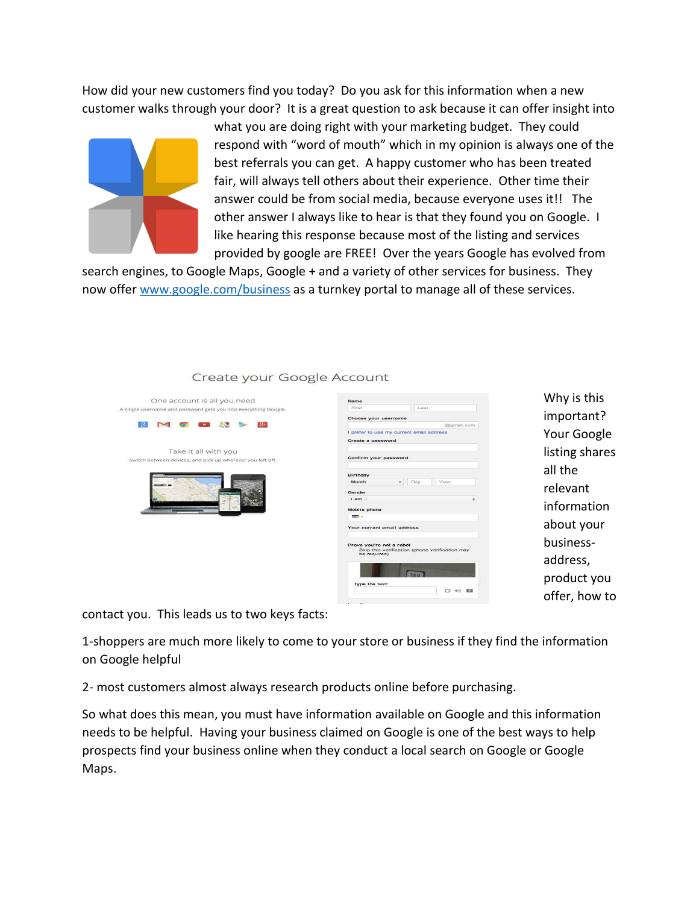How did your new customers find you today? Do you ask for this information when a new customer walks through your door? It is a great question to ask because it can offer insight into



what you are doing right with your marketing budget. They could respond with "word of mouth" which in my opinion is always one of the best referrals you can get. A happy customer who has been treated fair, will always tell others about their experience. Other time their answer could be from social media, because everyone uses it!! The other answer I always like to hear is that they found you on Google. I like hearing this response because most of the listing and services provided by google are FREE! Over the years Google has evolved from

search engines, to Google Maps, Google + and a variety of other services for business. They now offer [www.google.com/business](http://www.google.com/business) as a turnkey portal to manage all of these services.

# Create your Google Account



| Name                                     |            |                                                |
|------------------------------------------|------------|------------------------------------------------|
| First                                    | Last       |                                                |
| Choose your username                     |            |                                                |
|                                          |            | @gmail.com                                     |
| I prefer to use my current email address |            |                                                |
| Create a password                        |            |                                                |
|                                          |            |                                                |
| Confirm your password                    |            |                                                |
|                                          |            |                                                |
|                                          |            |                                                |
| Birthday<br>Month                        |            | Year.                                          |
|                                          | Day.<br>۵Î |                                                |
| Gender                                   |            |                                                |
| $l$ am                                   |            |                                                |
| Mobile phone                             |            |                                                |
| $13.17 - 1.001$                          |            |                                                |
|                                          |            |                                                |
| Your current email address               |            |                                                |
|                                          |            |                                                |
| Prove you're not a robot                 |            |                                                |
| be required)                             |            | Skip this verification (phone verification may |
|                                          |            |                                                |
|                                          |            |                                                |
|                                          |            |                                                |
|                                          |            |                                                |
|                                          |            |                                                |
| Type the text:                           |            |                                                |

Why is this important? Your Google listing shares all the relevant information about your businessaddress, product you offer, how to

contact you. This leads us to two keys facts:

1-shoppers are much more likely to come to your store or business if they find the information on Google helpful

2- most customers almost always research products online before purchasing.

So what does this mean, you must have information available on Google and this information needs to be helpful. Having your business claimed on Google is one of the best ways to help prospects find your business online when they conduct a local search on Google or Google Maps.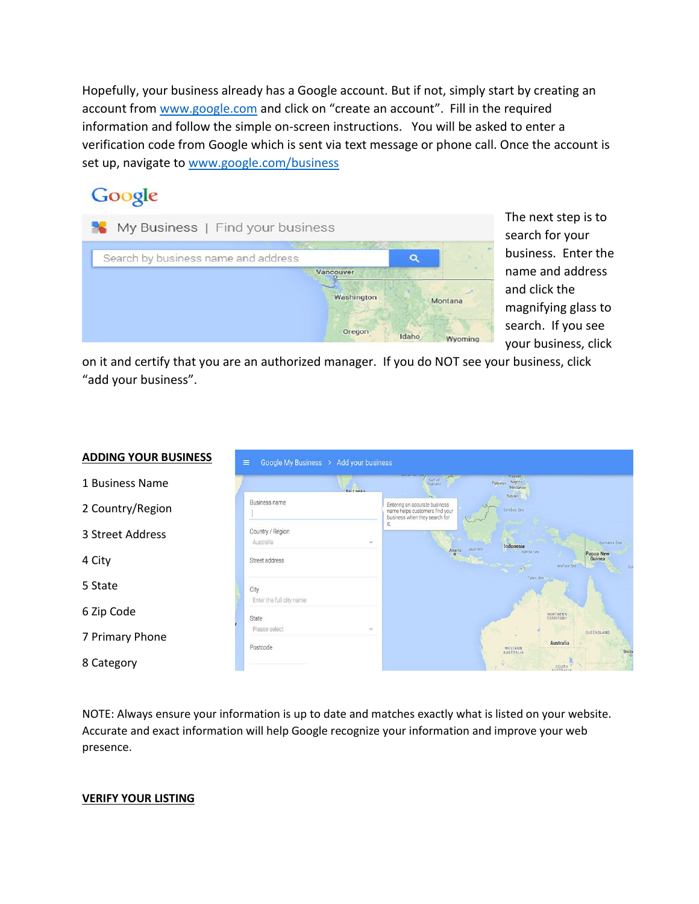Hopefully, your business already has a Google account. But if not, simply start by creating an account from [www.google.com](http://www.google.com/) and click on "create an account". Fill in the required information and follow the simple on-screen instructions. You will be asked to enter a verification code from Google which is sent via text message or phone call. Once the account is set up, navigate to [www.google.com/business](http://www.google.com/business)

## Google

| Vancouver |            |         |
|-----------|------------|---------|
|           |            |         |
|           | Washington | Montana |

The next step is to search for your business. Enter the name and address and click the magnifying glass to search. If you see your business, click

on it and certify that you are an authorized manager. If you do NOT see your business, click "add your business".

#### **ADDING YOUR BUSINESS**

- 1 Business Name
- 2 Country/Region
- 3 Street Address
- 4 City
- 5 State
- 6 Zip Code
- 7 Primary Phone
- 8 Category

| $Cri$ I anka                     |               | <b>Attendition control</b><br><b>Gulf of</b><br>Thailand                                         | Palawan        | Visayas<br>Negros<br>Mindanao |                       |                           |
|----------------------------------|---------------|--------------------------------------------------------------------------------------------------|----------------|-------------------------------|-----------------------|---------------------------|
| Business name                    |               | Entering an accurate business<br>name helps customers find your<br>business when they search for |                | Basilan<br>Celebes Sea        |                       |                           |
| Country / Region<br>Australia    | $\mathcal{L}$ | it.<br>Jakarta                                                                                   | Java Sea       | Indonesia                     |                       | <b>Bismarck Sea</b>       |
| Street address                   |               |                                                                                                  | <b>COMPANY</b> | Banda Sea<br>Timor Sea        | Arafura Sea           | Papua New<br>Guinea<br>So |
| City<br>Enter the full city name |               |                                                                                                  |                |                               |                       |                           |
| State                            |               |                                                                                                  |                |                               | NORTHERN<br>TERRITORY |                           |
| Please select                    | v             |                                                                                                  |                |                               | Australia             | QUEENSLAND                |
| Postcode                         |               |                                                                                                  |                | WESTERN<br>AUSTRALIA          | <b>SOUTH</b>          | <b>Brish</b>              |

NOTE: Always ensure your information is up to date and matches exactly what is listed on your website. Accurate and exact information will help Google recognize your information and improve your web presence.

#### **VERIFY YOUR LISTING**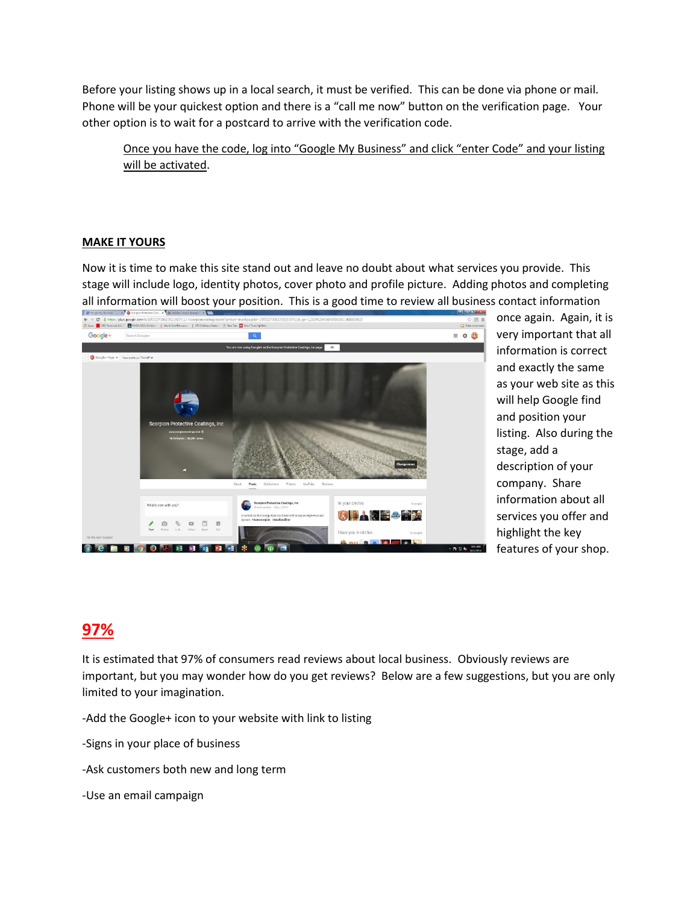Before your listing shows up in a local search, it must be verified. This can be done via phone or mail. Phone will be your quickest option and there is a "call me now" button on the verification page. Your other option is to wait for a postcard to arrive with the verification code.

Once you have the code, log into "Google My Business" and click "enter Code" and your listing will be activated.

#### **MAKE IT YOURS**

Now it is time to make this site stand out and leave no doubt about what services you provide. This stage will include logo, identity photos, cover photo and profile picture. Adding photos and completing all information will boost your position. This is a good time to review all business contact information



once again. Again, it is very important that all information is correct and exactly the same as your web site as this will help Google find and position your listing. Also during the stage, add a description of your company. Share information about all services you offer and highlight the key features of your shop.

### **97%**

It is estimated that 97% of consumers read reviews about local business. Obviously reviews are important, but you may wonder how do you get reviews? Below are a few suggestions, but you are only limited to your imagination.

-Add the Google+ icon to your website with link to listing

-Signs in your place of business

-Ask customers both new and long term

-Use an email campaign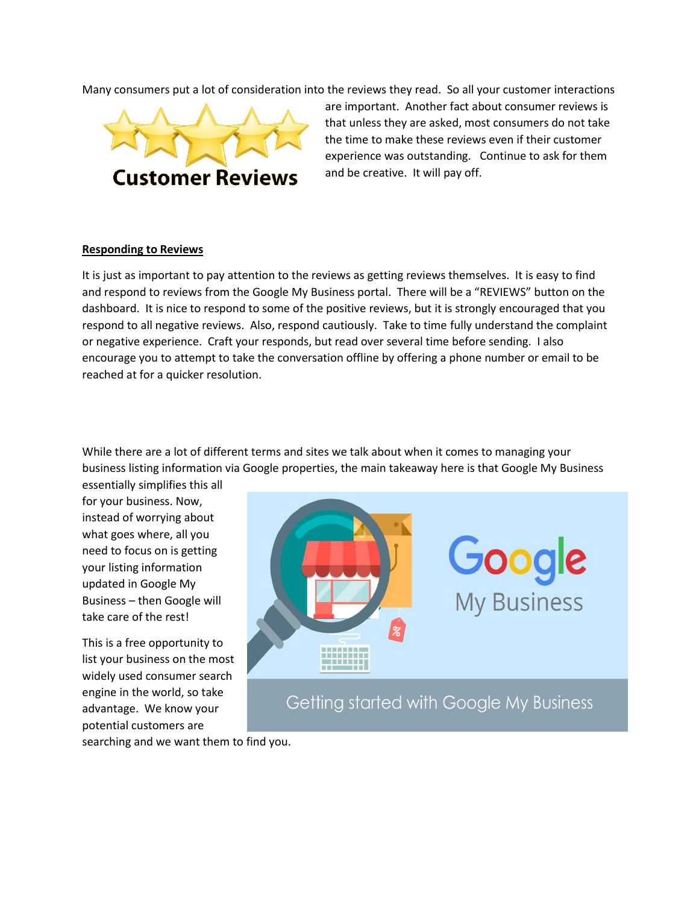Many consumers put a lot of consideration into the reviews they read. So all your customer interactions



are important. Another fact about consumer reviews is that unless they are asked, most consumers do not take the time to make these reviews even if their customer experience was outstanding. Continue to ask for them and be creative. It will pay off.

#### **Responding to Reviews**

It is just as important to pay attention to the reviews as getting reviews themselves. It is easy to find and respond to reviews from the Google My Business portal. There will be a "REVIEWS" button on the dashboard. It is nice to respond to some of the positive reviews, but it is strongly encouraged that you respond to all negative reviews. Also, respond cautiously. Take to time fully understand the complaint or negative experience. Craft your responds, but read over several time before sending. I also encourage you to attempt to take the conversation offline by offering a phone number or email to be reached at for a quicker resolution.

While there are a lot of different terms and sites we talk about when it comes to managing your business listing information via Google properties, the main takeaway here is that Google My Business

essentially simplifies this all for your business. Now, instead of worrying about what goes where, all you need to focus on is getting your listing information updated in Google My Business – then Google will take care of the rest!

This is a free opportunity to list your business on the most widely used consumer search engine in the world, so take advantage. We know your potential customers are



searching and we want them to find you.